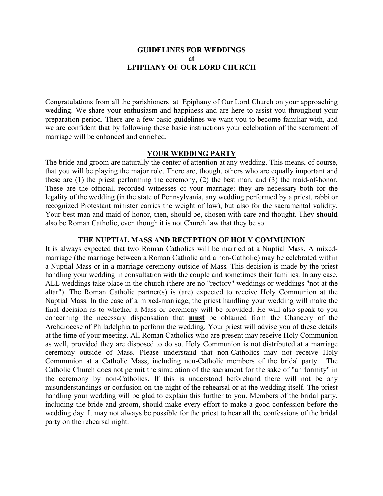### **GUIDELINES FOR WEDDINGS at EPIPHANY OF OUR LORD CHURCH**

Congratulations from all the parishioners at Epiphany of Our Lord Church on your approaching wedding. We share your enthusiasm and happiness and are here to assist you throughout your preparation period. There are a few basic guidelines we want you to become familiar with, and we are confident that by following these basic instructions your celebration of the sacrament of marriage will be enhanced and enriched.

### **YOUR WEDDING PARTY**

The bride and groom are naturally the center of attention at any wedding. This means, of course, that you will be playing the major role. There are, though, others who are equally important and these are (1) the priest performing the ceremony, (2) the best man, and (3) the maid-of-honor. These are the official, recorded witnesses of your marriage: they are necessary both for the legality of the wedding (in the state of Pennsylvania, any wedding performed by a priest, rabbi or recognized Protestant minister carries the weight of law), but also for the sacramental validity. Your best man and maid-of-honor, then, should be, chosen with care and thought. They **should**  also be Roman Catholic, even though it is not Church law that they be so.

### **THE NUPTIAL MASS AND RECEPTION OF HOLY COMMUNION**

It is always expected that two Roman Catholics will be married at a Nuptial Mass. A mixedmarriage (the marriage between a Roman Catholic and a non-Catholic) may be celebrated within a Nuptial Mass or in a marriage ceremony outside of Mass. This decision is made by the priest handling your wedding in consultation with the couple and sometimes their families. In any case, ALL weddings take place in the church (there are no "rectory" weddings or weddings "not at the altar"). The Roman Catholic partner(s) is (are) expected to receive Holy Communion at the Nuptial Mass. In the case of a mixed-marriage, the priest handling your wedding will make the final decision as to whether a Mass or ceremony will be provided. He will also speak to you concerning the necessary dispensation that **must** be obtained from the Chancery of the Archdiocese of Philadelphia to perform the wedding. Your priest will advise you of these details at the time of your meeting. All Roman Catholics who are present may receive Holy Communion as well, provided they are disposed to do so. Holy Communion is not distributed at a marriage ceremony outside of Mass. Please understand that non-Catholics may not receive Holy Communion at a Catholic Mass, including non-Catholic members of the bridal party. The Catholic Church does not permit the simulation of the sacrament for the sake of "uniformity" in the ceremony by non-Catholics. If this is understood beforehand there will not be any misunderstandings or confusion on the night of the rehearsal or at the wedding itself. The priest handling your wedding will be glad to explain this further to you. Members of the bridal party, including the bride and groom, should make every effort to make a good confession before the wedding day. It may not always be possible for the priest to hear all the confessions of the bridal party on the rehearsal night.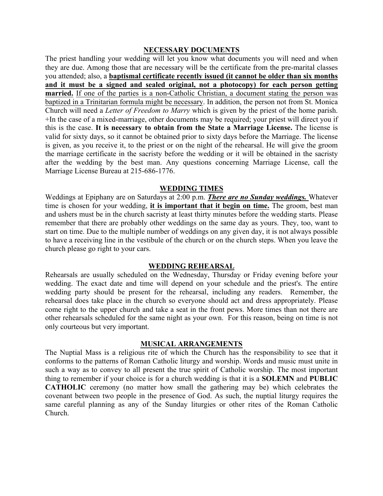### **NECESSARY DOCUMENTS**

The priest handling your wedding will let you know what documents you will need and when they are due. Among those that are necessary will be the certificate from the pre-marital classes you attended; also, a **baptismal certificate recently issued (it cannot be older than six months and it must be a signed and sealed original, not a photocopy) for each person getting married.** If one of the parties is a non-Catholic Christian, a document stating the person was baptized in a Trinitarian formula might be necessary. In addition, the person not from St. Monica Church will need a *Letter of Freedom to Marry* which is given by the priest of the home parish. +In the case of a mixed-marriage, other documents may be required; your priest will direct you if this is the case. **It is necessary to obtain from the State a Marriage License.** The license is valid for sixty days, so it cannot be obtained prior to sixty days before the Marriage. The license is given, as you receive it, to the priest or on the night of the rehearsal. He will give the groom the marriage certificate in the sacristy before the wedding or it will be obtained in the sacristy after the wedding by the best man. Any questions concerning Marriage License, call the Marriage License Bureau at 215-686-1776.

### **WEDDING TIMES**

Weddings at Epiphany are on Saturdays at 2:00 p.m. *There are no Sunday weddings.* Whatever time is chosen for your wedding, **it is important that it begin on time.** The groom, best man and ushers must be in the church sacristy at least thirty minutes before the wedding starts. Please remember that there are probably other weddings on the same day as yours. They, too, want to start on time. Due to the multiple number of weddings on any given day, it is not always possible to have a receiving line in the vestibule of the church or on the church steps. When you leave the church please go right to your cars.

### **WEDDING REHEARSAL**

Rehearsals are usually scheduled on the Wednesday, Thursday or Friday evening before your wedding. The exact date and time will depend on your schedule and the priest's. The entire wedding party should be present for the rehearsal, including any readers. Remember, the rehearsal does take place in the church so everyone should act and dress appropriately. Please come right to the upper church and take a seat in the front pews. More times than not there are other rehearsals scheduled for the same night as your own. For this reason, being on time is not only courteous but very important.

### **MUSICAL ARRANGEMENTS**

The Nuptial Mass is a religious rite of which the Church has the responsibility to see that it conforms to the patterns of Roman Catholic liturgy and worship. Words and music must unite in such a way as to convey to all present the true spirit of Catholic worship. The most important thing to remember if your choice is for a church wedding is that it is a **SOLEMN** and **PUBLIC CATHOLIC** ceremony (no matter how small the gathering may be) which celebrates the covenant between two people in the presence of God. As such, the nuptial liturgy requires the same careful planning as any of the Sunday liturgies or other rites of the Roman Catholic Church.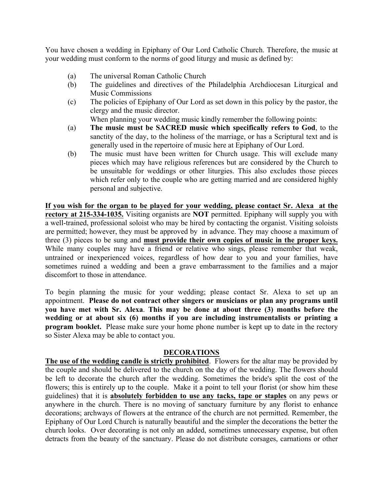You have chosen a wedding in Epiphany of Our Lord Catholic Church. Therefore, the music at your wedding must conform to the norms of good liturgy and music as defined by:

- (a) The universal Roman Catholic Church
- (b) The guidelines and directives of the Philadelphia Archdiocesan Liturgical and Music Commissions
- (c) The policies of Epiphany of Our Lord as set down in this policy by the pastor, the clergy and the music director.

When planning your wedding music kindly remember the following points:

- (a) **The music must be SACRED music which specifically refers to God**, to the sanctity of the day, to the holiness of the marriage, or has a Scriptural text and is generally used in the repertoire of music here at Epiphany of Our Lord.
- (b) The music must have been written for Church usage. This will exclude many pieces which may have religious references but are considered by the Church to be unsuitable for weddings or other liturgies. This also excludes those pieces which refer only to the couple who are getting married and are considered highly personal and subjective.

**If you wish for the organ to be played for your wedding, please contact Sr. Alexa at the rectory at 215-334-1035.** Visiting organists are **NOT** permitted. Epiphany will supply you with a well-trained, professional soloist who may be hired by contacting the organist. Visiting soloists are permitted; however, they must be approved by in advance. They may choose a maximum of three (3) pieces to be sung and **must provide their own copies of music in the proper keys.**  While many couples may have a friend or relative who sings, please remember that weak, untrained or inexperienced voices, regardless of how dear to you and your families, have sometimes ruined a wedding and been a grave embarrassment to the families and a major discomfort to those in attendance.

To begin planning the music for your wedding; please contact Sr. Alexa to set up an appointment. **Please do not contract other singers or musicians or plan any programs until you have met with Sr. Alexa**. **This may be done at about three (3) months before the wedding or at about six (6) months if you are including instrumentalists or printing a program booklet.** Please make sure your home phone number is kept up to date in the rectory so Sister Alexa may be able to contact you.

### **DECORATIONS**

**The use of the wedding candle is strictly prohibited**. Flowers for the altar may be provided by the couple and should be delivered to the church on the day of the wedding. The flowers should be left to decorate the church after the wedding. Sometimes the bride's split the cost of the flowers; this is entirely up to the couple. Make it a point to tell your florist (or show him these guidelines) that it is **absolutely forbidden to use any tacks, tape or staples** on any pews or anywhere in the church. There is no moving of sanctuary furniture by any florist to enhance decorations; archways of flowers at the entrance of the church are not permitted. Remember, the Epiphany of Our Lord Church is naturally beautiful and the simpler the decorations the better the church looks. Over decorating is not only an added, sometimes unnecessary expense, but often detracts from the beauty of the sanctuary. Please do not distribute corsages, carnations or other